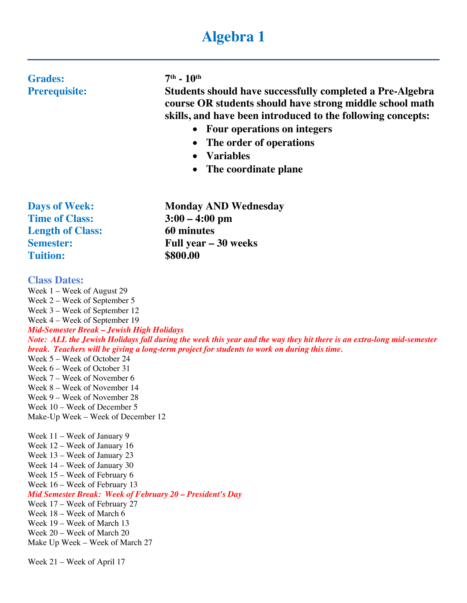# **Algebra 1**

# **Grades: 7th - 10th**

**Prerequisite: Students should have successfully completed a Pre-Algebra course OR students should have strong middle school math skills, and have been introduced to the following concepts:** 

- **Four operations on integers**
- **The order of operations**
- **Variables**
- **The coordinate plane**

**Days of Week: Monday AND Wednesday Time of Class: 3:00 – 4:00 pm Length of Class: 60 minutes Semester: Full year – 30 weeks Tuition: \$800.00**

#### **Class Dates:**

Week 1 – Week of August 29 Week 2 – Week of September 5 Week 3 – Week of September 12 Week 4 – Week of September 19 *Mid-Semester Break – Jewish High Holidays Note: ALL the Jewish Holidays fall during the week this year and the way they hit there is an extra-long mid-semester break. Teachers will be giving a long-term project for students to work on during this time.* Week 5 – Week of October 24 Week 6 – Week of October 31 Week 7 – Week of November 6 Week 8 – Week of November 14 Week 9 – Week of November 28 Week 10 – Week of December 5 Make-Up Week – Week of December 12 Week 11 – Week of January 9 Week 12 – Week of January 16 Week 13 – Week of January 23 Week 14 – Week of January 30 Week 15 – Week of February 6 Week 16 – Week of February 13 *Mid Semester Break: Week of February 20 – President's Day* Week 17 – Week of February 27 Week 18 – Week of March 6 Week 19 – Week of March 13 Week 20 – Week of March 20 Make Up Week – Week of March 27

Week 21 – Week of April 17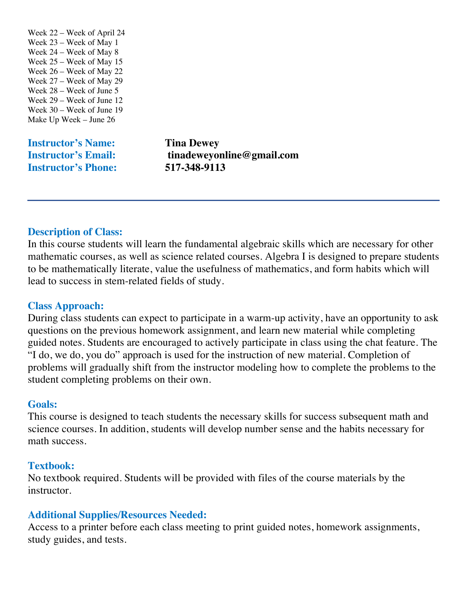Week 22 – Week of April 24 Week 23 – Week of May 1 Week 24 – Week of May 8 Week 25 – Week of May 15 Week 26 – Week of May 22 Week 27 – Week of May 29 Week 28 – Week of June 5 Week 29 – Week of June 12 Week 30 – Week of June 19 Make Up Week – June 26

**Instructor's Name: Tina Dewey Instructor's Phone: 517-348-9113**

**Instructor's Email: tinadeweyonline@gmail.com**

#### **Description of Class:**

In this course students will learn the fundamental algebraic skills which are necessary for other mathematic courses, as well as science related courses. Algebra I is designed to prepare students to be mathematically literate, value the usefulness of mathematics, and form habits which will lead to success in stem-related fields of study.

#### **Class Approach:**

During class students can expect to participate in a warm-up activity, have an opportunity to ask questions on the previous homework assignment, and learn new material while completing guided notes. Students are encouraged to actively participate in class using the chat feature. The "I do, we do, you do" approach is used for the instruction of new material. Completion of problems will gradually shift from the instructor modeling how to complete the problems to the student completing problems on their own.

#### **Goals:**

This course is designed to teach students the necessary skills for success subsequent math and science courses. In addition, students will develop number sense and the habits necessary for math success.

#### **Textbook:**

No textbook required. Students will be provided with files of the course materials by the instructor.

#### **Additional Supplies/Resources Needed:**

Access to a printer before each class meeting to print guided notes, homework assignments, study guides, and tests.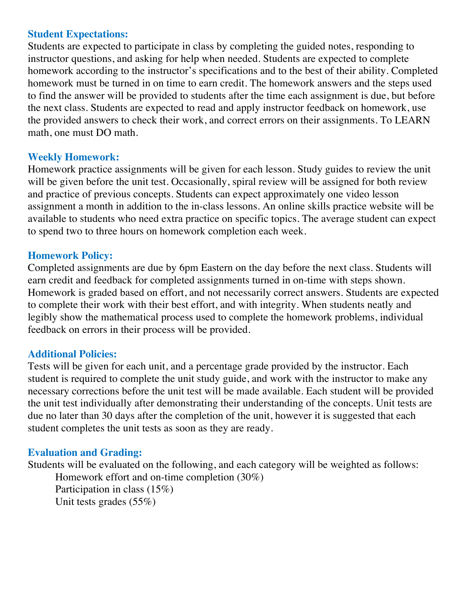#### **Student Expectations:**

Students are expected to participate in class by completing the guided notes, responding to instructor questions, and asking for help when needed. Students are expected to complete homework according to the instructor's specifications and to the best of their ability. Completed homework must be turned in on time to earn credit. The homework answers and the steps used to find the answer will be provided to students after the time each assignment is due, but before the next class. Students are expected to read and apply instructor feedback on homework, use the provided answers to check their work, and correct errors on their assignments. To LEARN math, one must DO math.

### **Weekly Homework:**

Homework practice assignments will be given for each lesson. Study guides to review the unit will be given before the unit test. Occasionally, spiral review will be assigned for both review and practice of previous concepts. Students can expect approximately one video lesson assignment a month in addition to the in-class lessons. An online skills practice website will be available to students who need extra practice on specific topics. The average student can expect to spend two to three hours on homework completion each week.

### **Homework Policy:**

Completed assignments are due by 6pm Eastern on the day before the next class. Students will earn credit and feedback for completed assignments turned in on-time with steps shown. Homework is graded based on effort, and not necessarily correct answers. Students are expected to complete their work with their best effort, and with integrity. When students neatly and legibly show the mathematical process used to complete the homework problems, individual feedback on errors in their process will be provided.

### **Additional Policies:**

Tests will be given for each unit, and a percentage grade provided by the instructor. Each student is required to complete the unit study guide, and work with the instructor to make any necessary corrections before the unit test will be made available. Each student will be provided the unit test individually after demonstrating their understanding of the concepts. Unit tests are due no later than 30 days after the completion of the unit, however it is suggested that each student completes the unit tests as soon as they are ready.

### **Evaluation and Grading:**

Students will be evaluated on the following, and each category will be weighted as follows: Homework effort and on-time completion (30%) Participation in class (15%)

Unit tests grades (55%)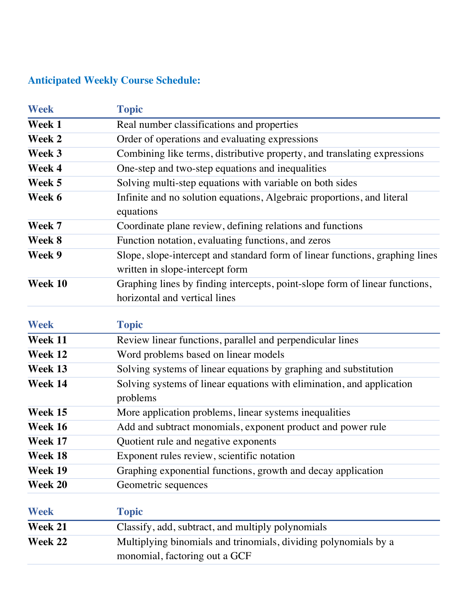## **Anticipated Weekly Course Schedule:**

| <b>Week</b>    | <b>Topic</b>                                                                      |
|----------------|-----------------------------------------------------------------------------------|
| Week 1         | Real number classifications and properties                                        |
| Week 2         | Order of operations and evaluating expressions                                    |
| Week 3         | Combining like terms, distributive property, and translating expressions          |
| Week 4         | One-step and two-step equations and inequalities                                  |
| Week 5         | Solving multi-step equations with variable on both sides                          |
| Week 6         | Infinite and no solution equations, Algebraic proportions, and literal            |
|                | equations                                                                         |
| Week 7         | Coordinate plane review, defining relations and functions                         |
| Week 8         | Function notation, evaluating functions, and zeros                                |
| Week 9         | Slope, slope-intercept and standard form of linear functions, graphing lines      |
|                | written in slope-intercept form                                                   |
| Week 10        | Graphing lines by finding intercepts, point-slope form of linear functions,       |
|                | horizontal and vertical lines                                                     |
| <b>Week</b>    | <b>Topic</b>                                                                      |
| Week 11        | Review linear functions, parallel and perpendicular lines                         |
| Week 12        | Word problems based on linear models                                              |
| Week 13        | Solving systems of linear equations by graphing and substitution                  |
| Week 14        | Solving systems of linear equations with elimination, and application<br>problems |
| Week 15        | More application problems, linear systems inequalities                            |
| Week 16        | Add and subtract monomials, exponent product and power rule                       |
| Week 17        | Quotient rule and negative exponents                                              |
| Week 18        | Exponent rules review, scientific notation                                        |
| Week 19        | Graphing exponential functions, growth and decay application                      |
| Week 20        | Geometric sequences                                                               |
| <b>Week</b>    | <b>Topic</b>                                                                      |
| <b>Week 21</b> | Classify, add, subtract, and multiply polynomials                                 |
| Week 22        | Multiplying binomials and trinomials, dividing polynomials by a                   |
|                | monomial, factoring out a GCF                                                     |
|                |                                                                                   |